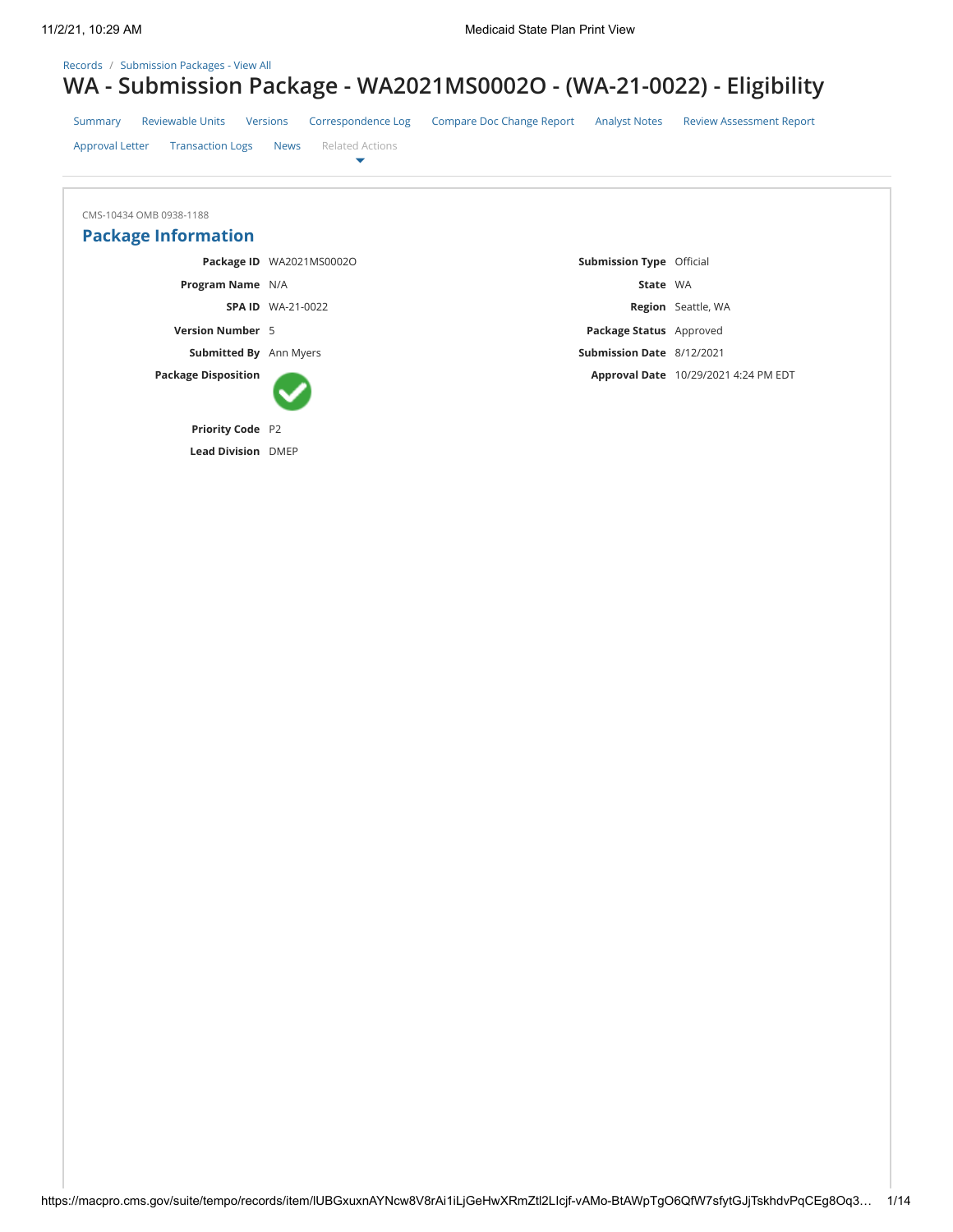### [Records](https://macpro.cms.gov/suite/tempo/records) / [Submission Packages - View All](https://macpro.cms.gov/suite/tempo/records/type/eoFXOA/view/all)

# **WA - Submission Package - WA2021MS0002O - (WA-21-0022) - Eligibility**

| Summary                 | Reviewable Units |  | Versions Correspondence Log                  | <b>Compare Doc Change Report</b> | <b>Analyst Notes</b> | <b>Review Assessment Report</b> |
|-------------------------|------------------|--|----------------------------------------------|----------------------------------|----------------------|---------------------------------|
| Approval Letter         |                  |  | <b>Transaction Logs News</b> Related Actions |                                  |                      |                                 |
|                         |                  |  |                                              |                                  |                      |                                 |
| CMS-10434 OMB 0938-1188 |                  |  |                                              |                                  |                      |                                 |

| CITI DUCTO CITILO FLOPII CITILO |                          |                                 |                                      |
|---------------------------------|--------------------------|---------------------------------|--------------------------------------|
| <b>Package Information</b>      |                          |                                 |                                      |
|                                 | Package ID WA2021MS0002O | <b>Submission Type</b> Official |                                      |
| <b>Program Name</b> N/A         |                          | State WA                        |                                      |
|                                 | <b>SPA ID WA-21-0022</b> |                                 | <b>Region</b> Seattle, WA            |
| <b>Version Number 5</b>         |                          | Package Status Approved         |                                      |
| <b>Submitted By</b> Ann Myers   |                          | Submission Date 8/12/2021       |                                      |
| <b>Package Disposition</b>      |                          |                                 | Approval Date 10/29/2021 4:24 PM EDT |
| <b>Priority Code</b> P2         |                          |                                 |                                      |
| <b>Lead Division DMEP</b>       |                          |                                 |                                      |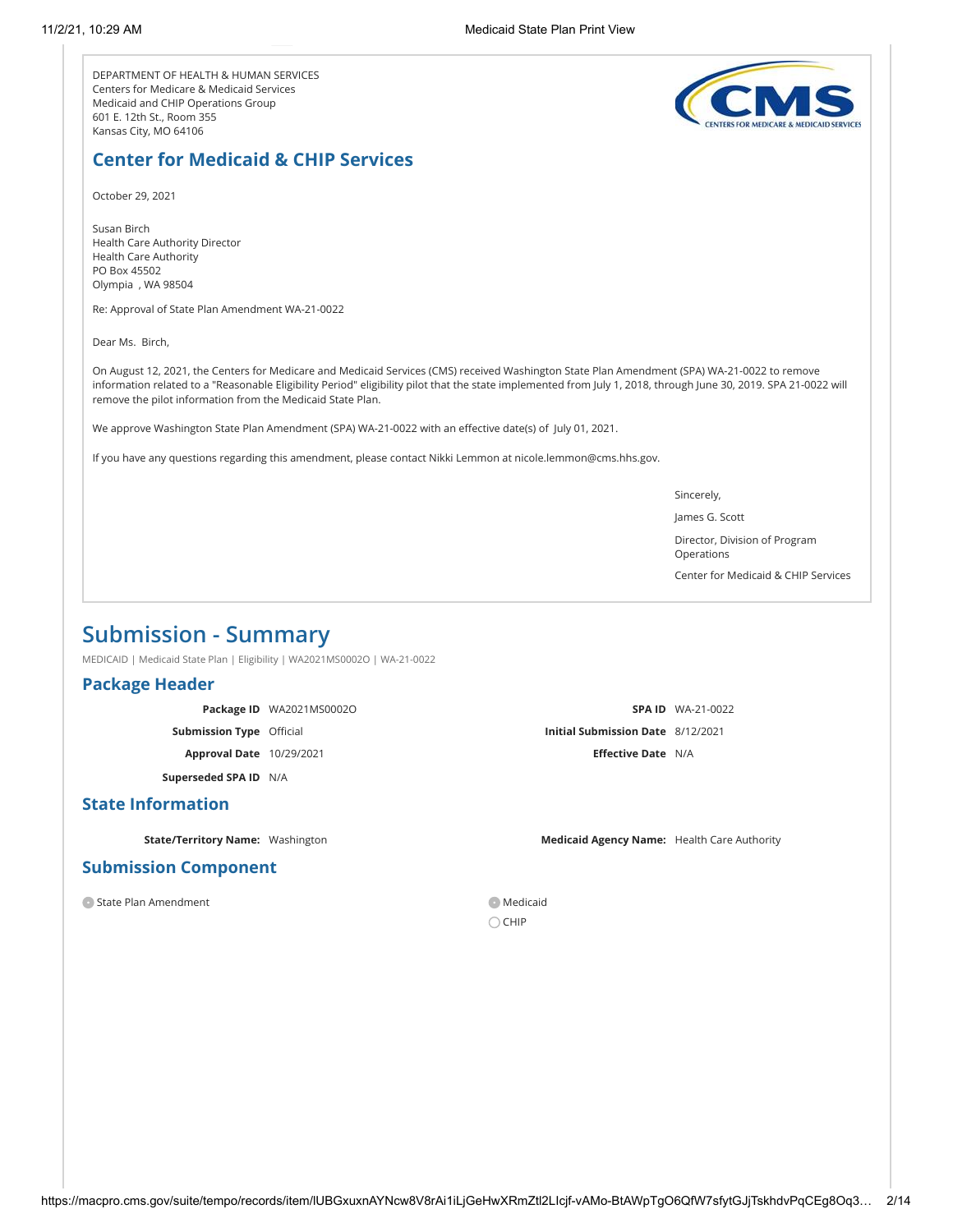DEPARTMENT OF HEALTH & HUMAN SERVICES Centers for Medicare & Medicaid Services Medicaid and CHIP Operations Group 601 E. 12th St., Room 355 Kansas City, MO 64106



# **Center for Medicaid & CHIP Services**

October 29, 2021

Susan Birch Health Care Authority Director Health Care Authority PO Box 45502 Olympia , WA 98504

Re: Approval of State Plan Amendment WA-21-0022

Dear Ms. Birch,

On August 12, 2021, the Centers for Medicare and Medicaid Services (CMS) received Washington State Plan Amendment (SPA) WA-21-0022 to remove information related to a "Reasonable Eligibility Period" eligibility pilot that the state implemented from July 1, 2018, through June 30, 2019. SPA 21-0022 will remove the pilot information from the Medicaid State Plan.

We approve Washington State Plan Amendment (SPA) WA-21-0022 with an effective date(s) of July 01, 2021.

If you have any questions regarding this amendment, please contact Nikki Lemmon at nicole.lemmon@cms.hhs.gov.

Sincerely,

James G. Scott

Director, Division of Program Operations

Center for Medicaid & CHIP Services

# **Submission - Summary**

MEDICAID | Medicaid State Plan | Eligibility | WA2021MS0002O | WA-21-0022

### **Package Header**

**Package ID** WA2021MS0002O **Submission Type** Official **Approval Date** 10/29/2021 **Superseded SPA ID** N/A

### **State Information**

### **Submission Component**

O State Plan Amendment Medicaid

**SPA ID** WA-21-0022 **Initial Submission Date** 8/12/2021 **Effective Date** N/A

**State/Territory Name:** Washington **Medicaid Agency Name:** Health Care Authority

 $\bigcirc$  CHIP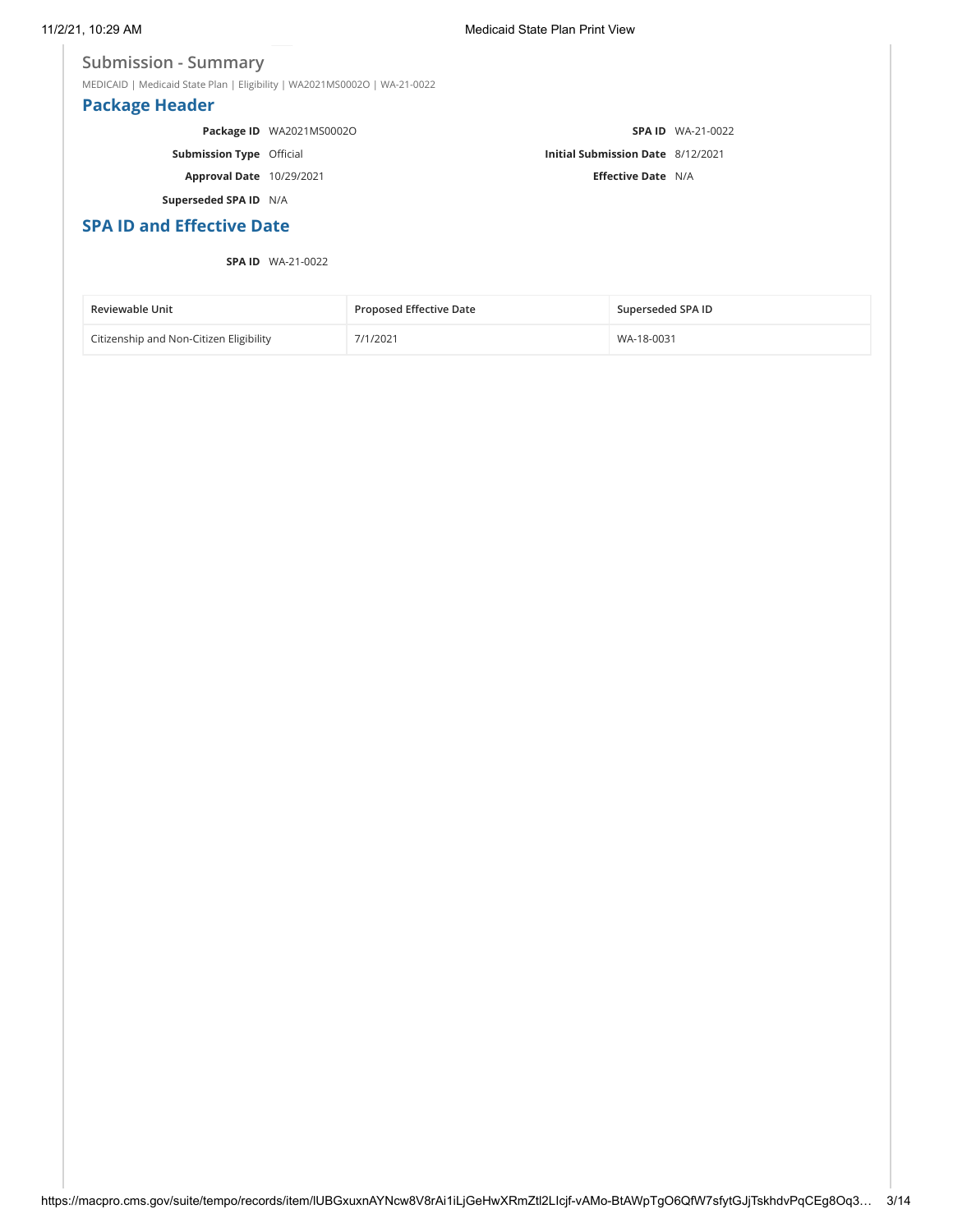### **Submission - Summary**

MEDICAID | Medicaid State Plan | Eligibility | WA2021MS0002O | WA-21-0022

# **Package Header**

|                                 | Package ID WA2021MS0002O |                                          | <b>SPA ID</b> WA-21-0022 |
|---------------------------------|--------------------------|------------------------------------------|--------------------------|
| <b>Submission Type</b> Official |                          | <b>Initial Submission Date 8/12/2021</b> |                          |
| <b>Approval Date</b> 10/29/2021 |                          | <b>Effective Date N/A</b>                |                          |

**Superseded SPA ID** N/A

# **SPA ID and Effective Date**

### **SPA ID** WA-21-0022

| <b>Reviewable Unit</b>                  | <b>Proposed Effective Date</b> | Superseded SPA ID |
|-----------------------------------------|--------------------------------|-------------------|
| Citizenship and Non-Citizen Eligibility | 7/1/2021                       | WA-18-0031        |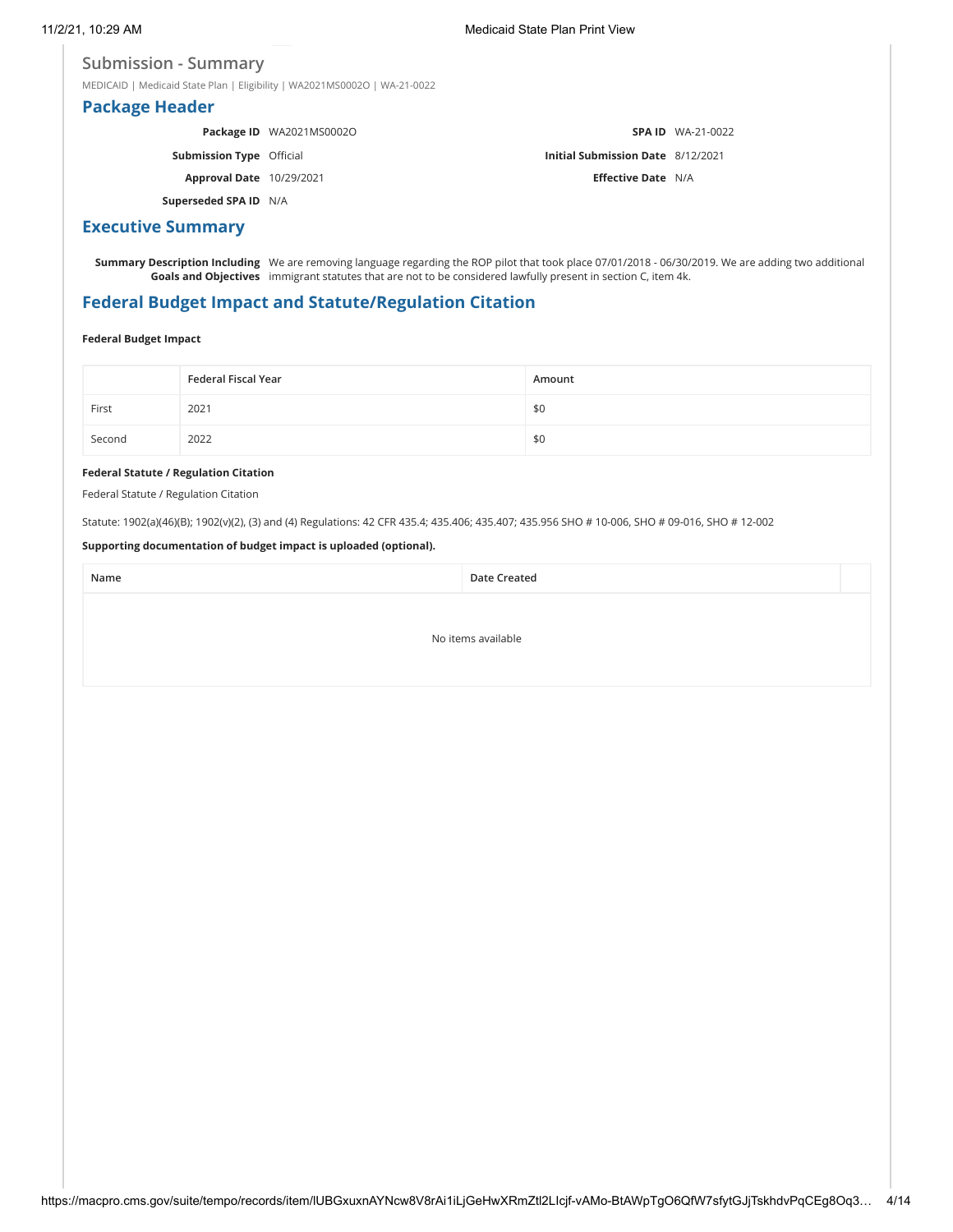### **Submission - Summary**

MEDICAID | Medicaid State Plan | Eligibility | WA2021MS0002O | WA-21-0022

# **Package Header**

**Package ID** WA2021MS0002O **Submission Type** Official **Approval Date** 10/29/2021 **Superseded SPA ID** N/A **SPA ID** WA-21-0022 **Initial Submission Date** 8/12/2021 **Effective Date** N/A

# **Executive Summary**

**Summary Description Including** We are removing language regarding the ROP pilot that took place 07/01/2018 - 06/30/2019. We are adding two additional **Goals and Objectives** immigrant statutes that are not to be considered lawfully present in section C, item 4k.

# **Federal Budget Impact and Statute/Regulation Citation**

### **Federal Budget Impact**

|        | Federal Fiscal Year | Amount |
|--------|---------------------|--------|
| First  | 2021                | \$0    |
| Second | 2022                | \$0    |

### **Federal Statute / Regulation Citation**

Federal Statute / Regulation Citation

Statute: 1902(a)(46)(B); 1902(v)(2), (3) and (4) Regulations: 42 CFR 435.4; 435.406; 435.407; 435.956 SHO # 10-006, SHO # 09-016, SHO # 12-002

### **Supporting documentation of budget impact is uploaded (optional).**

**Name Date Created** 

No items available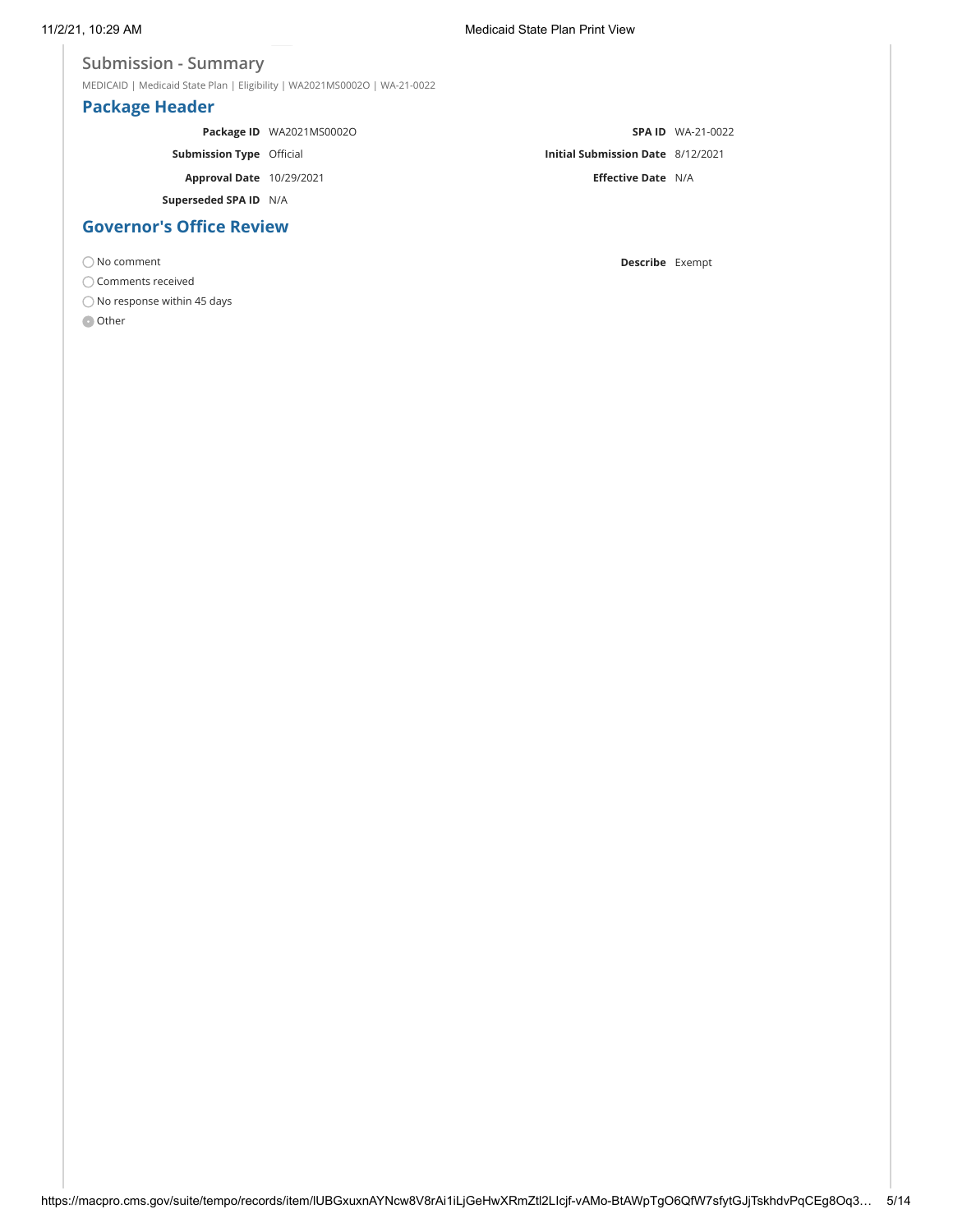### **Submission - Summary**

MEDICAID | Medicaid State Plan | Eligibility | WA2021MS0002O | WA-21-0022

# **Package Header**

|                                 | Package ID WA2021MS0002O |                                          | <b>SPA ID</b> WA-21-0022 |
|---------------------------------|--------------------------|------------------------------------------|--------------------------|
| <b>Submission Type Official</b> |                          | <b>Initial Submission Date 8/12/2021</b> |                          |
| <b>Approval Date</b> 10/29/2021 |                          | <b>Effective Date N/A</b>                |                          |
| Superseded SPA ID N/A           |                          |                                          |                          |
| <b>Governor's Office Review</b> |                          |                                          |                          |

No comment **Describe** Exempt

 $\bigcirc$  Comments received

 $\bigcirc$  No response within 45 days

**O** Other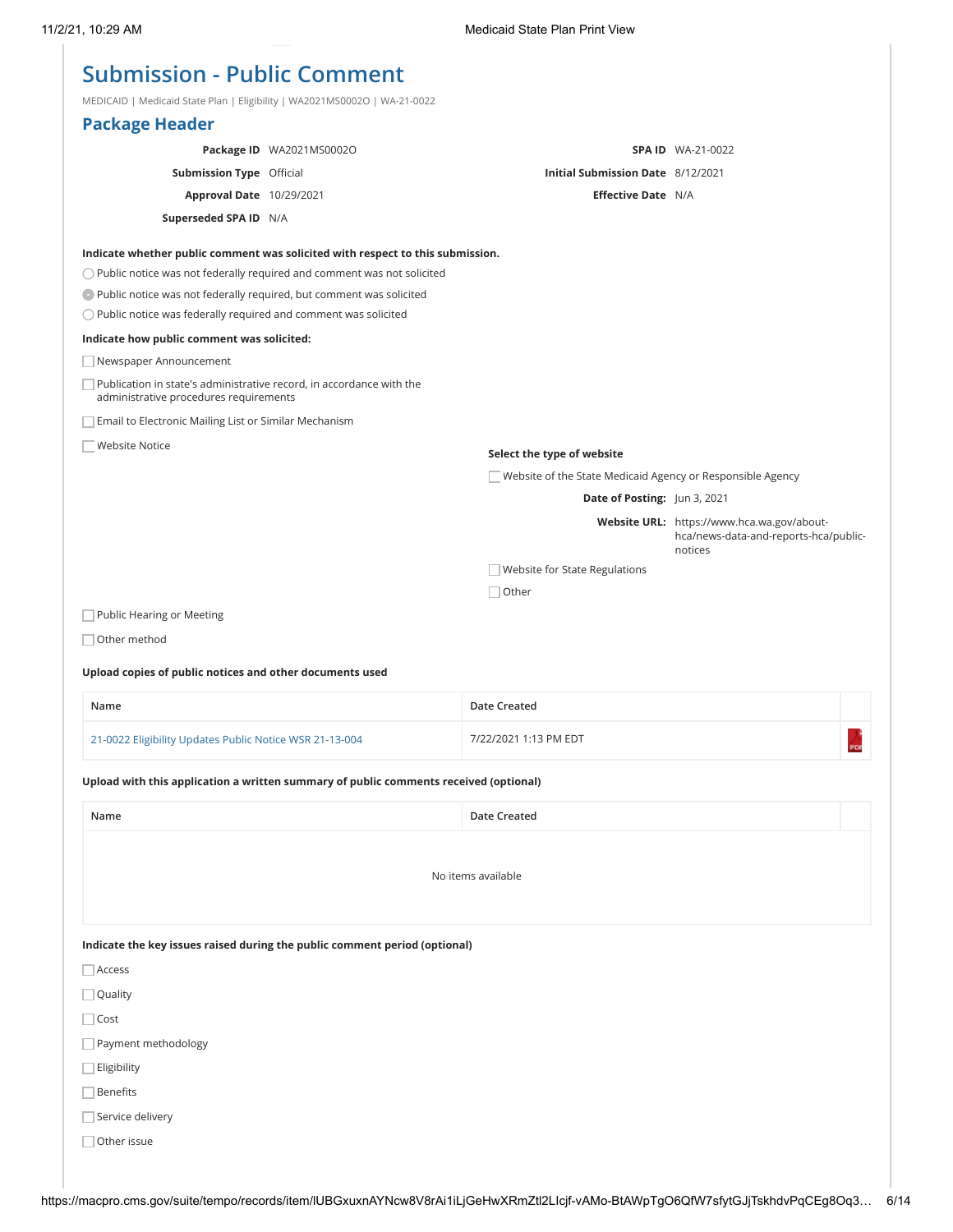# **Submission - Public Comment**

MEDICAID | Medicaid State Plan | Eligibility | WA2021MS0002O | WA-21-0022

| $NEDICAND$   Wedicald State Fiam   Englishity   WAZUZ HVISUUUZO   WA-ZT-00ZZ                                   |                                                                                       |                                                            |                                                  |
|----------------------------------------------------------------------------------------------------------------|---------------------------------------------------------------------------------------|------------------------------------------------------------|--------------------------------------------------|
| <b>Package Header</b>                                                                                          |                                                                                       |                                                            |                                                  |
|                                                                                                                | Package ID WA2021MS0002O                                                              |                                                            | <b>SPA ID WA-21-0022</b>                         |
| <b>Submission Type Official</b>                                                                                |                                                                                       | Initial Submission Date 8/12/2021                          |                                                  |
| Approval Date 10/29/2021                                                                                       |                                                                                       | <b>Effective Date N/A</b>                                  |                                                  |
| Superseded SPA ID N/A                                                                                          |                                                                                       |                                                            |                                                  |
|                                                                                                                | Indicate whether public comment was solicited with respect to this submission.        |                                                            |                                                  |
|                                                                                                                | $\bigcirc$ Public notice was not federally required and comment was not solicited     |                                                            |                                                  |
| Public notice was not federally required, but comment was solicited                                            |                                                                                       |                                                            |                                                  |
| O Public notice was federally required and comment was solicited                                               |                                                                                       |                                                            |                                                  |
| Indicate how public comment was solicited:                                                                     |                                                                                       |                                                            |                                                  |
| Newspaper Announcement                                                                                         |                                                                                       |                                                            |                                                  |
| Publication in state's administrative record, in accordance with the<br>administrative procedures requirements |                                                                                       |                                                            |                                                  |
| Email to Electronic Mailing List or Similar Mechanism                                                          |                                                                                       |                                                            |                                                  |
| <b>Website Notice</b>                                                                                          |                                                                                       | Select the type of website                                 |                                                  |
|                                                                                                                |                                                                                       | Website of the State Medicaid Agency or Responsible Agency |                                                  |
|                                                                                                                |                                                                                       | Date of Posting: Jun 3, 2021                               |                                                  |
|                                                                                                                |                                                                                       |                                                            | Website URL: https://www.hca.wa.gov/about-       |
|                                                                                                                |                                                                                       |                                                            | hca/news-data-and-reports-hca/public-<br>notices |
|                                                                                                                |                                                                                       | Website for State Regulations                              |                                                  |
|                                                                                                                |                                                                                       | $\Box$ Other                                               |                                                  |
| Public Hearing or Meeting                                                                                      |                                                                                       |                                                            |                                                  |
| Other method                                                                                                   |                                                                                       |                                                            |                                                  |
|                                                                                                                |                                                                                       |                                                            |                                                  |
| Upload copies of public notices and other documents used                                                       |                                                                                       |                                                            |                                                  |
| Name                                                                                                           |                                                                                       | Date Created                                               |                                                  |
| 21-0022 Eligibility Updates Public Notice WSR 21-13-004                                                        |                                                                                       | 7/22/2021 1:13 PM EDT                                      | PDF                                              |
|                                                                                                                | Upload with this application a written summary of public comments received (optional) |                                                            |                                                  |
| Name                                                                                                           |                                                                                       | Date Created                                               |                                                  |
|                                                                                                                |                                                                                       |                                                            |                                                  |
|                                                                                                                |                                                                                       | No items available                                         |                                                  |
|                                                                                                                |                                                                                       |                                                            |                                                  |
|                                                                                                                |                                                                                       |                                                            |                                                  |
|                                                                                                                | Indicate the key issues raised during the public comment period (optional)            |                                                            |                                                  |
| Access                                                                                                         |                                                                                       |                                                            |                                                  |
| Quality                                                                                                        |                                                                                       |                                                            |                                                  |
| $\Box$ Cost                                                                                                    |                                                                                       |                                                            |                                                  |
| Payment methodology                                                                                            |                                                                                       |                                                            |                                                  |
| Eligibility                                                                                                    |                                                                                       |                                                            |                                                  |
| <b>Benefits</b>                                                                                                |                                                                                       |                                                            |                                                  |
| Service delivery                                                                                               |                                                                                       |                                                            |                                                  |
|                                                                                                                |                                                                                       |                                                            |                                                  |
| Other issue                                                                                                    |                                                                                       |                                                            |                                                  |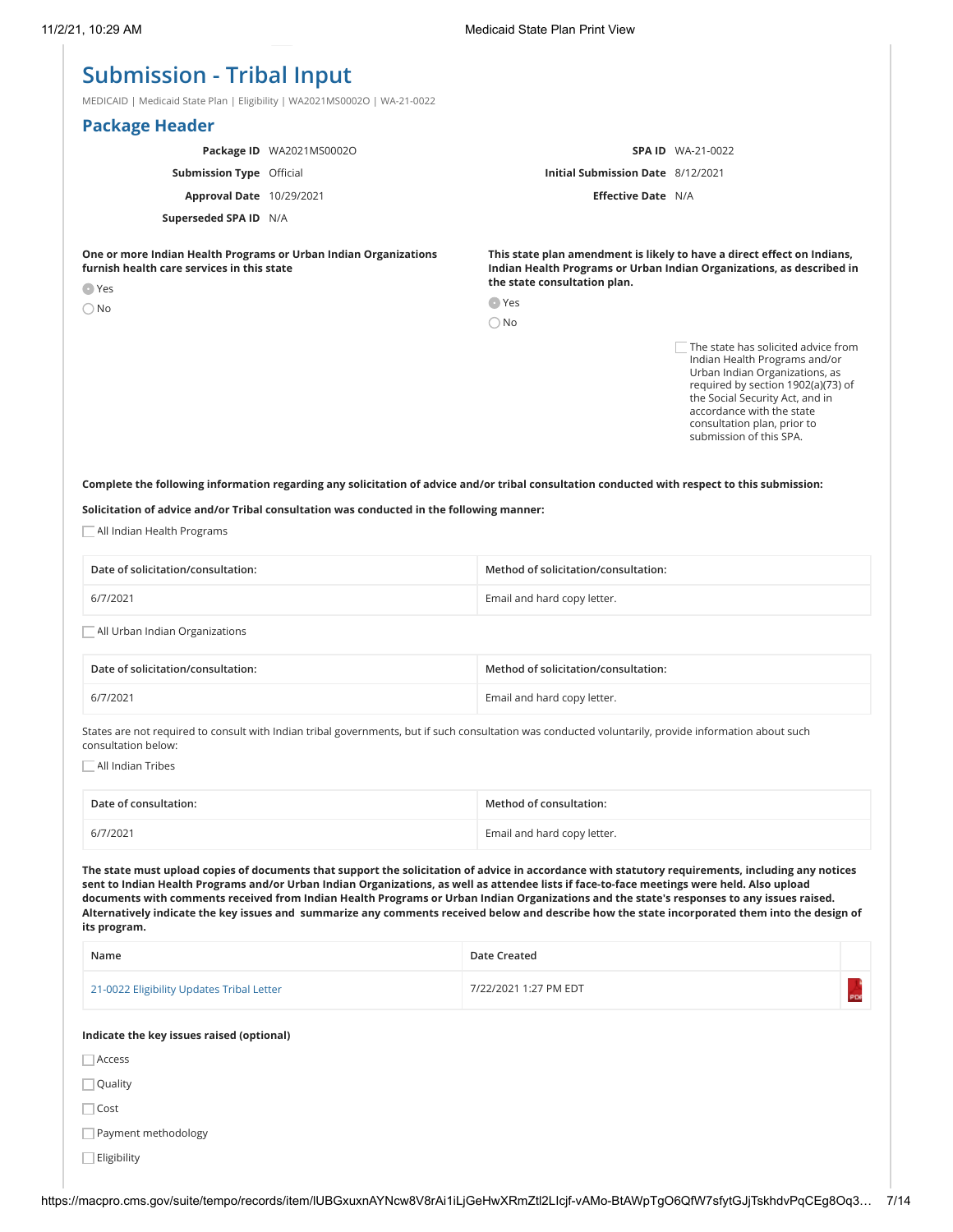# **Submission - Tribal Input**

MEDICAID | Medicaid State Plan | Eligibility | WA2021MS0002O | WA-21-0022

|                                                                                                                                 | <b>Package Header</b>           |                          |                                                                                                                                                                                                  |                                                                                                                                                                                                                                                                        |
|---------------------------------------------------------------------------------------------------------------------------------|---------------------------------|--------------------------|--------------------------------------------------------------------------------------------------------------------------------------------------------------------------------------------------|------------------------------------------------------------------------------------------------------------------------------------------------------------------------------------------------------------------------------------------------------------------------|
|                                                                                                                                 |                                 | Package ID WA2021MS0002O |                                                                                                                                                                                                  | <b>SPA ID WA-21-0022</b>                                                                                                                                                                                                                                               |
|                                                                                                                                 | <b>Submission Type Official</b> |                          | <b>Initial Submission Date</b> 8/12/2021                                                                                                                                                         |                                                                                                                                                                                                                                                                        |
|                                                                                                                                 | <b>Approval Date</b> 10/29/2021 |                          | <b>Effective Date N/A</b>                                                                                                                                                                        |                                                                                                                                                                                                                                                                        |
|                                                                                                                                 | Superseded SPA ID N/A           |                          |                                                                                                                                                                                                  |                                                                                                                                                                                                                                                                        |
| One or more Indian Health Programs or Urban Indian Organizations<br>furnish health care services in this state<br>$\bullet$ Yes |                                 |                          | This state plan amendment is likely to have a direct effect on Indians,<br>Indian Health Programs or Urban Indian Organizations, as described in<br>the state consultation plan.<br><b>O</b> Yes |                                                                                                                                                                                                                                                                        |
|                                                                                                                                 | $\bigcirc$ No                   |                          | $\bigcirc$ No                                                                                                                                                                                    |                                                                                                                                                                                                                                                                        |
|                                                                                                                                 |                                 |                          |                                                                                                                                                                                                  | The state has solicited advice from<br>Indian Health Programs and/or<br>Urban Indian Organizations, as<br>required by section 1902(a)(73) of<br>the Social Security Act, and in<br>accordance with the state<br>consultation plan, prior to<br>submission of this SPA. |

**Complete the following information regarding any solicitation of advice and/or tribal consultation conducted with respect to this submission:**

**Solicitation of advice and/or Tribal consultation was conducted in the following manner:**

All Indian Health Programs

| Date of solicitation/consultation: | Method of solicitation/consultation: |
|------------------------------------|--------------------------------------|
| 6/7/2021                           | Email and hard copy letter.          |
|                                    |                                      |

All Urban Indian Organizations

| Date of solicitation/consultation: | Method of solicitation/consultation: |
|------------------------------------|--------------------------------------|
| 6/7/2021                           | Email and hard copy letter.          |

States are not required to consult with Indian tribal governments, but if such consultation was conducted voluntarily, provide information about such consultation below:

All Indian Tribes

| Date of consultation: | Method of consultation:     |
|-----------------------|-----------------------------|
| 6/7/2021              | Email and hard copy letter. |

**The state must upload copies of documents that support the solicitation of advice in accordance with statutory requirements, including any notices sent to Indian Health Programs and/or Urban Indian Organizations, as well as attendee lists if face-to-face meetings were held. Also upload documents with comments received from Indian Health Programs or Urban Indian Organizations and the state's responses to any issues raised. Alternatively indicate the key issues and summarize any comments received below and describe how the state incorporated them into the design of its program.**

| Name                                      | Date Created          |  |
|-------------------------------------------|-----------------------|--|
| 21-0022 Eligibility Updates Tribal Letter | 7/22/2021 1:27 PM EDT |  |

#### **Indicate the key issues raised (optional)**

Access

Quality

□ Cost

Payment methodology

 $\Box$  Eligibility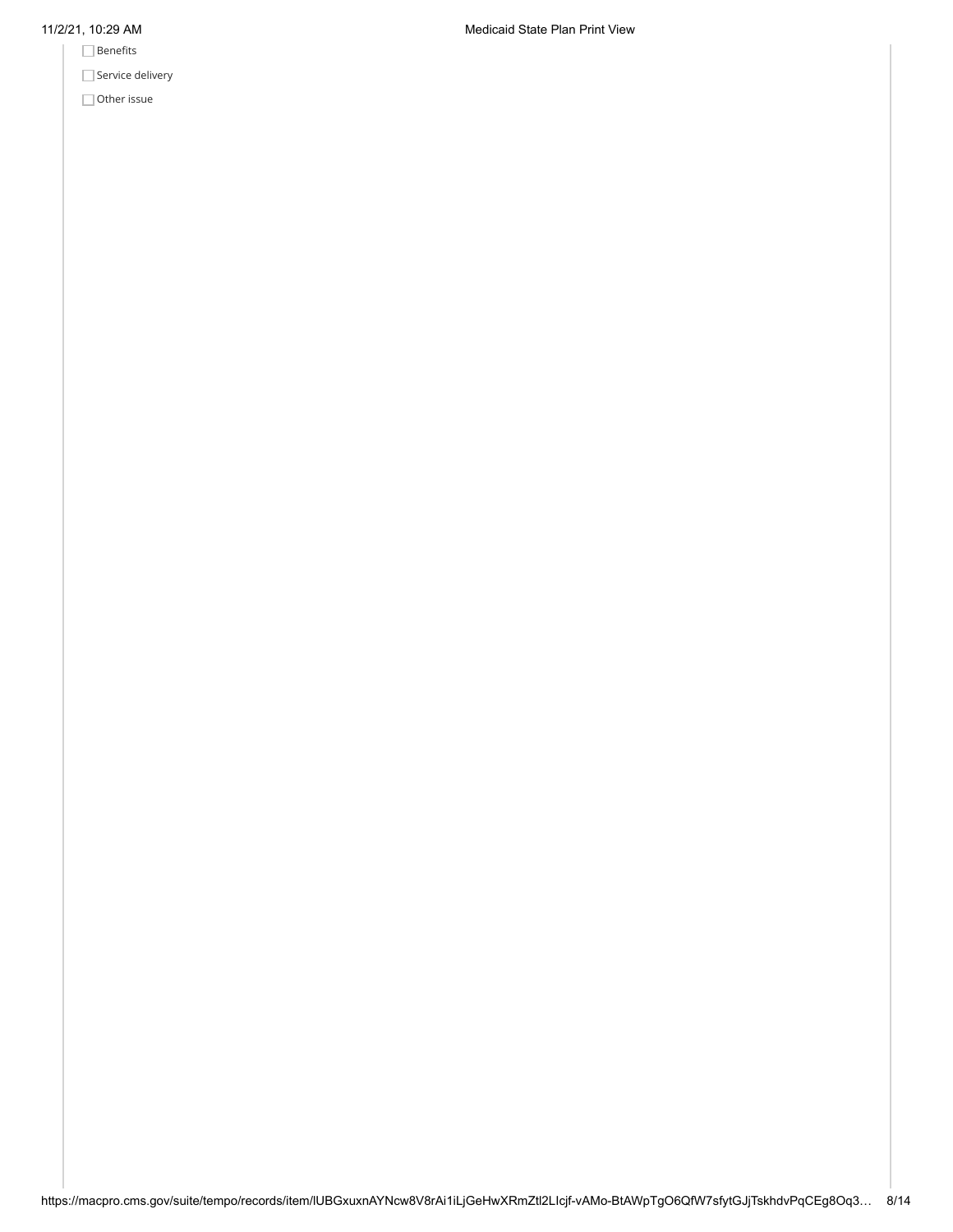- $\hfill\Box$  <br> Benefits
- Service delivery

Other issue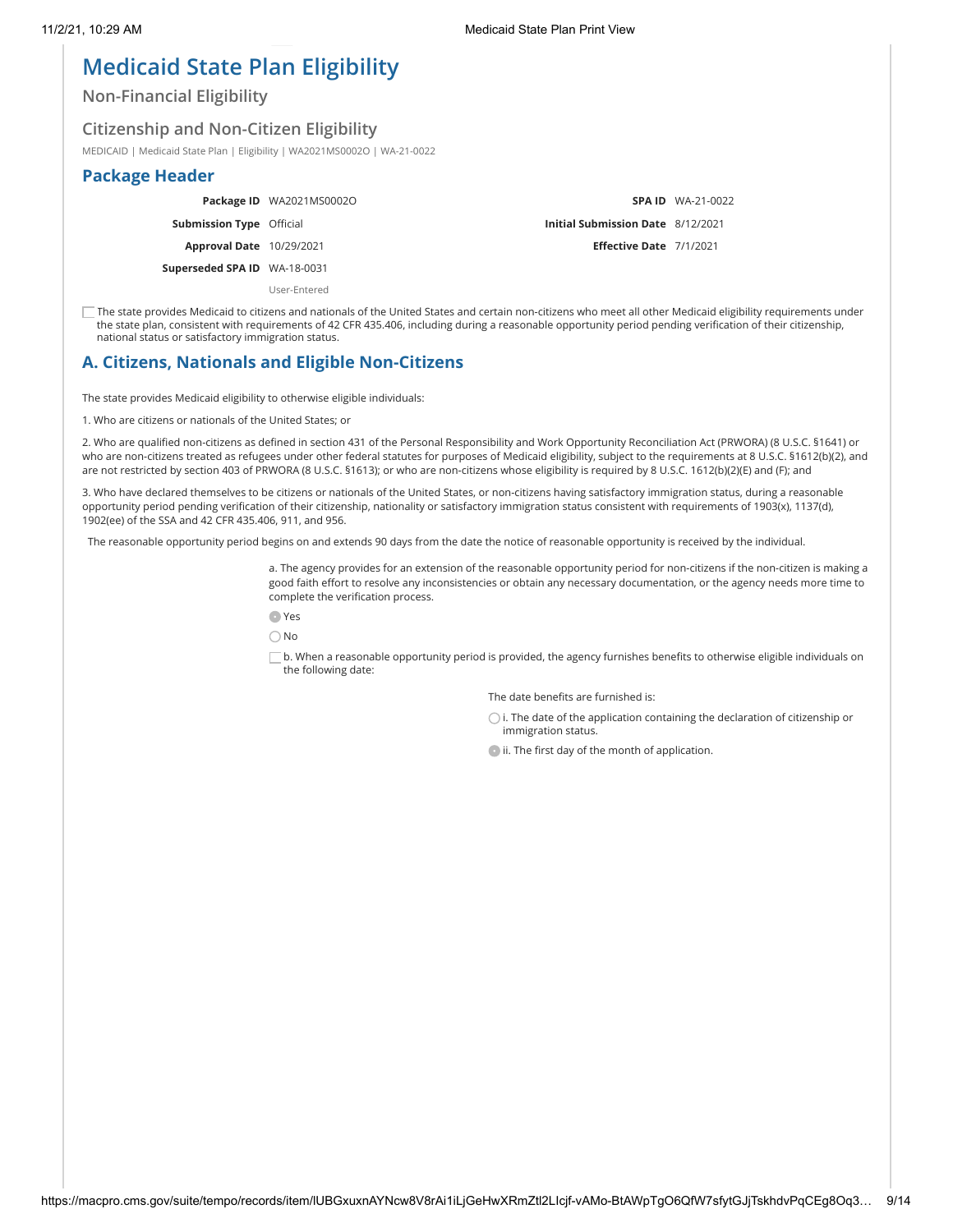# **Medicaid State Plan Eligibility**

**Non-Financial Eligibility**

## **Citizenship and Non-Citizen Eligibility**

MEDICAID | Medicaid State Plan | Eligibility | WA2021MS0002O | WA-21-0022

### **Package Header**

**Package ID** WA2021MS0002O

**Submission Type** Official

**Approval Date** 10/29/2021

**Superseded SPA ID** WA-18-0031

User-Entered

|                                          | <b>SPA ID</b> WA-21-0022 |
|------------------------------------------|--------------------------|
| <b>Initial Submission Date</b> 8/12/2021 |                          |
| Effective Date 7/1/2021                  |                          |

 $\Box$  The state provides Medicaid to citizens and nationals of the United States and certain non-citizens who meet all other Medicaid eligibility requirements under the state plan, consistent with requirements of 42 CFR 435.406, including during a reasonable opportunity period pending verification of their citizenship, national status or satisfactory immigration status.

# **A. Citizens, Nationals and Eligible Non-Citizens**

The state provides Medicaid eligibility to otherwise eligible individuals:

1. Who are citizens or nationals of the United States; or

2. Who are qualified non-citizens as defined in section 431 of the Personal Responsibility and Work Opportunity Reconciliation Act (PRWORA) (8 U.S.C. §1641) or who are non-citizens treated as refugees under other federal statutes for purposes of Medicaid eligibility, subject to the requirements at 8 U.S.C. §1612(b)(2), and are not restricted by section 403 of PRWORA (8 U.S.C. §1613); or who are non-citizens whose eligibility is required by 8 U.S.C. 1612(b)(2)(E) and (F); and

3. Who have declared themselves to be citizens or nationals of the United States, or non-citizens having satisfactory immigration status, during a reasonable opportunity period pending verification of their citizenship, nationality or satisfactory immigration status consistent with requirements of 1903(x), 1137(d), 1902(ee) of the SSA and 42 CFR 435.406, 911, and 956.

The reasonable opportunity period begins on and extends 90 days from the date the notice of reasonable opportunity is received by the individual.

a. The agency provides for an extension of the reasonable opportunity period for non-citizens if the non-citizen is making a good faith effort to resolve any inconsistencies or obtain any necessary documentation, or the agency needs more time to complete the verification process.

Yes

No

b. When a reasonable opportunity period is provided, the agency furnishes benefits to otherwise eligible individuals on the following date:

The date benefits are furnished is:

 $\bigcirc$  i. The date of the application containing the declaration of citizenship or immigration status.

 $\bullet$  ii. The first day of the month of application.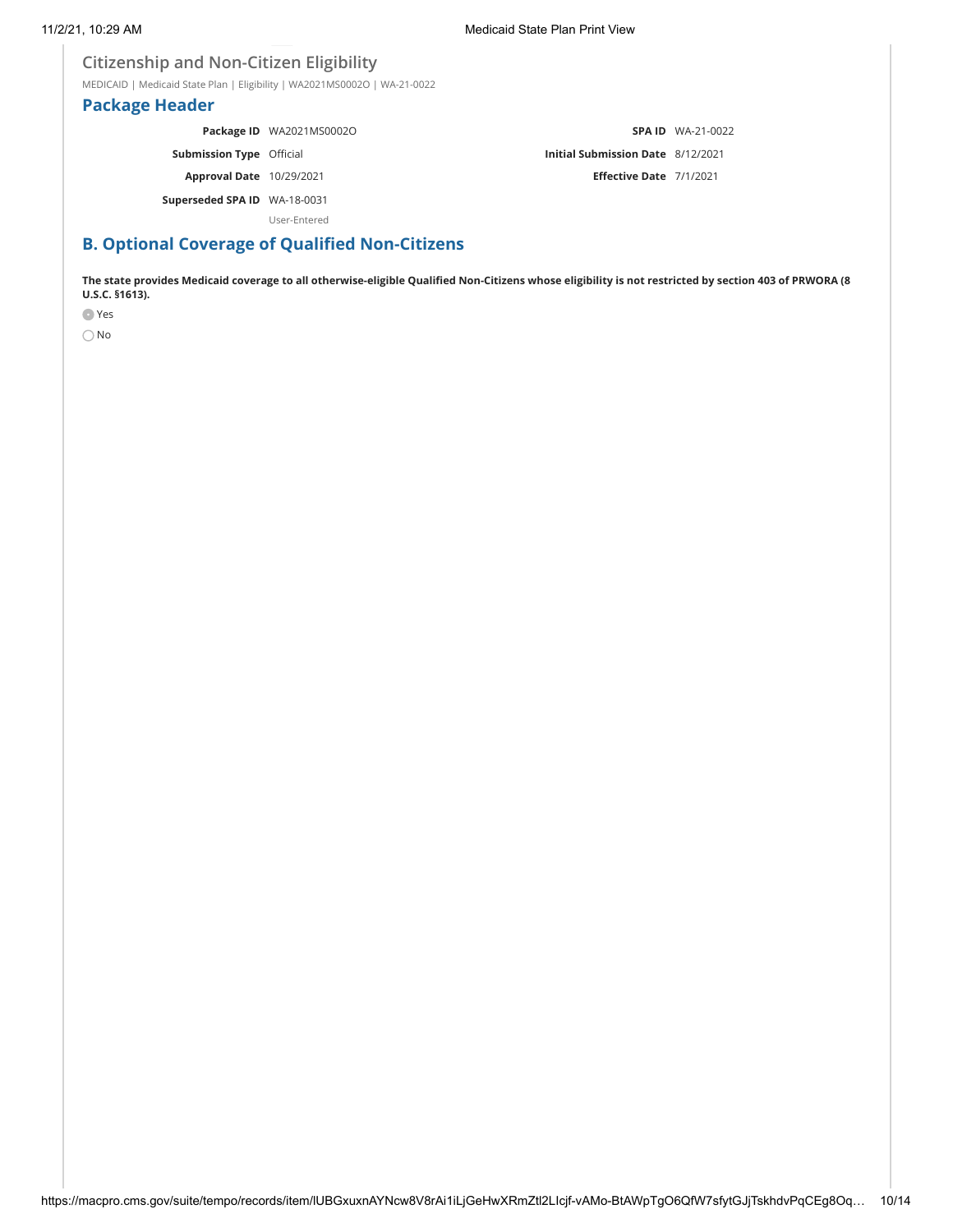### **Citizenship and Non-Citizen Eligibility**

MEDICAID | Medicaid State Plan | Eligibility | WA2021MS0002O | WA-21-0022

### **Package Header**

**Package ID** WA2021MS0002O **Submission Type** Official **Approval Date** 10/29/2021 **Superseded SPA ID** WA-18-0031 **SPA ID** WA-21-0022 **Initial Submission Date** 8/12/2021 **Effective Date** 7/1/2021

User-Entered

# **B. Optional Coverage of Qualified Non-Citizens**

**The state provides Medicaid coverage to all otherwise-eligible Qualified Non-Citizens whose eligibility is not restricted by section 403 of PRWORA (8 U.S.C. §1613).**

Yes

 $\bigcirc$  No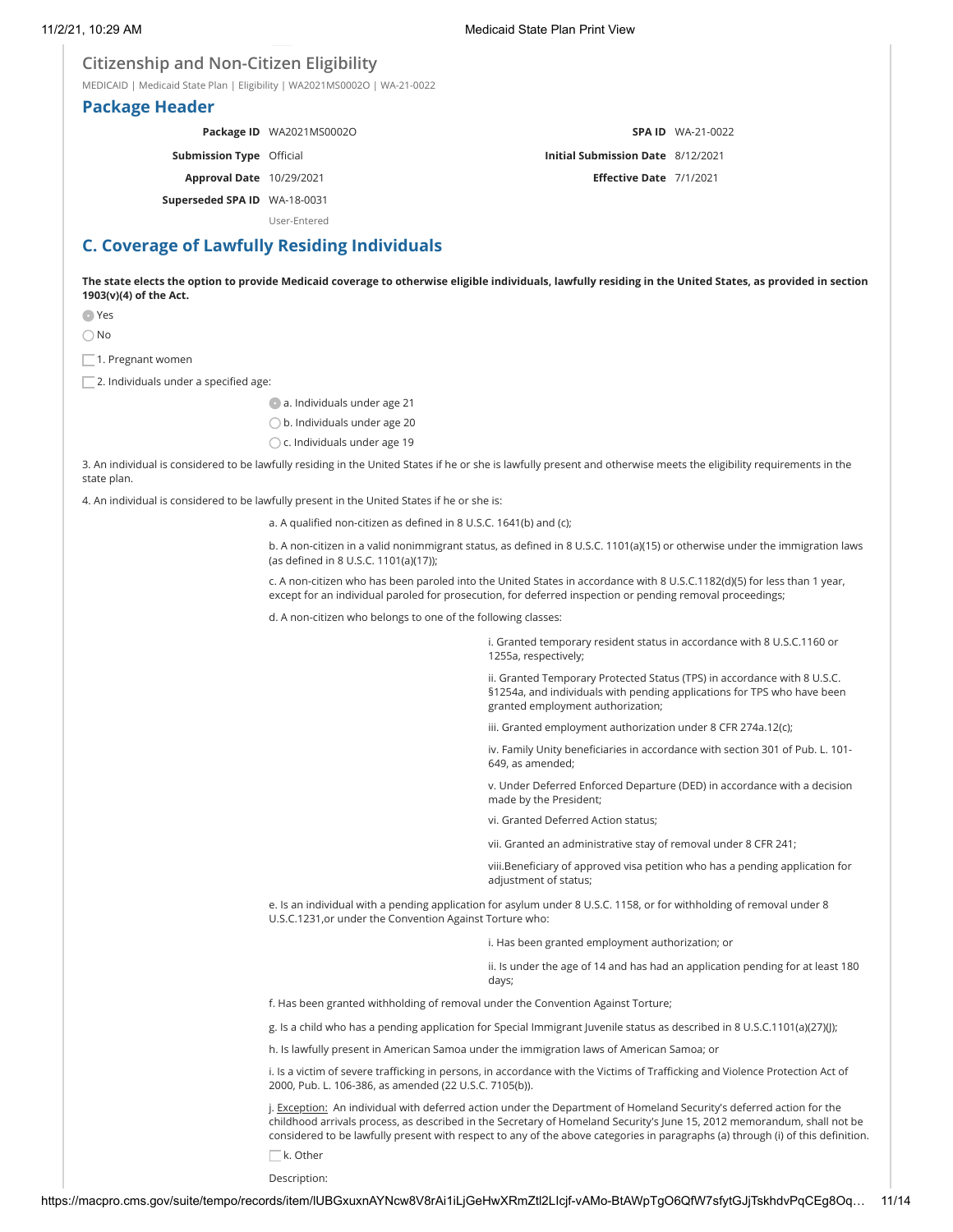### **Citizenship and Non-Citizen Eligibility**

MEDICAID | Medicaid State Plan | Eligibility | WA2021MS0002O | WA-21-0022

### **Package Header**

**Package ID** WA2021MS0002O

**Submission Type** Official

**Approval Date** 10/29/2021

**Superseded SPA ID** WA-18-0031

User-Entered

# **C. Coverage of Lawfully Residing Individuals**

**The state elects the option to provide Medicaid coverage to otherwise eligible individuals, lawfully residing in the United States, as provided in section 1903(v)(4) of the Act.**

Yes

No

 $\Box$  1. Pregnant women

 $\Box$  2. Individuals under a specified age:

a. Individuals under age 21

b. Individuals under age 20

 $\bigcirc$  c. Individuals under age 19

3. An individual is considered to be lawfully residing in the United States if he or she is lawfully present and otherwise meets the eligibility requirements in the state plan.

4. An individual is considered to be lawfully present in the United States if he or she is:

a. A qualified non-citizen as defined in 8 U.S.C. 1641(b) and (c);

b. A non-citizen in a valid nonimmigrant status, as defined in 8 U.S.C. 1101(a)(15) or otherwise under the immigration laws (as defined in 8 U.S.C. 1101(a)(17));

c. A non-citizen who has been paroled into the United States in accordance with 8 U.S.C.1182(d)(5) for less than 1 year, except for an individual paroled for prosecution, for deferred inspection or pending removal proceedings;

d. A non-citizen who belongs to one of the following classes:

i. Granted temporary resident status in accordance with 8 U.S.C.1160 or 1255a, respectively;

**SPA ID** WA-21-0022

**Initial Submission Date** 8/12/2021 **Effective Date** 7/1/2021

ii. Granted Temporary Protected Status (TPS) in accordance with 8 U.S.C. §1254a, and individuals with pending applications for TPS who have been granted employment authorization;

iii. Granted employment authorization under 8 CFR 274a.12(c);

iv. Family Unity beneficiaries in accordance with section 301 of Pub. L. 101- 649, as amended;

v. Under Deferred Enforced Departure (DED) in accordance with a decision made by the President;

vi. Granted Deferred Action status;

vii. Granted an administrative stay of removal under 8 CFR 241;

viii.Beneficiary of approved visa petition who has a pending application for adjustment of status;

e. Is an individual with a pending application for asylum under 8 U.S.C. 1158, or for withholding of removal under 8 U.S.C.1231,or under the Convention Against Torture who:

i. Has been granted employment authorization; or

ii. Is under the age of 14 and has had an application pending for at least 180 days;

f. Has been granted withholding of removal under the Convention Against Torture;

g. Is a child who has a pending application for Special Immigrant Juvenile status as described in 8 U.S.C.1101(a)(27)(J);

h. Is lawfully present in American Samoa under the immigration laws of American Samoa; or

i. Is a victim of severe trafficking in persons, in accordance with the Victims of Trafficking and Violence Protection Act of 2000, Pub. L. 106-386, as amended (22 U.S.C. 7105(b)).

j. Exception: An individual with deferred action under the Department of Homeland Security's deferred action for the childhood arrivals process, as described in the Secretary of Homeland Security's June 15, 2012 memorandum, shall not be considered to be lawfully present with respect to any of the above categories in paragraphs (a) through (i) of this definition.

 $\Box$ k. Other

Description: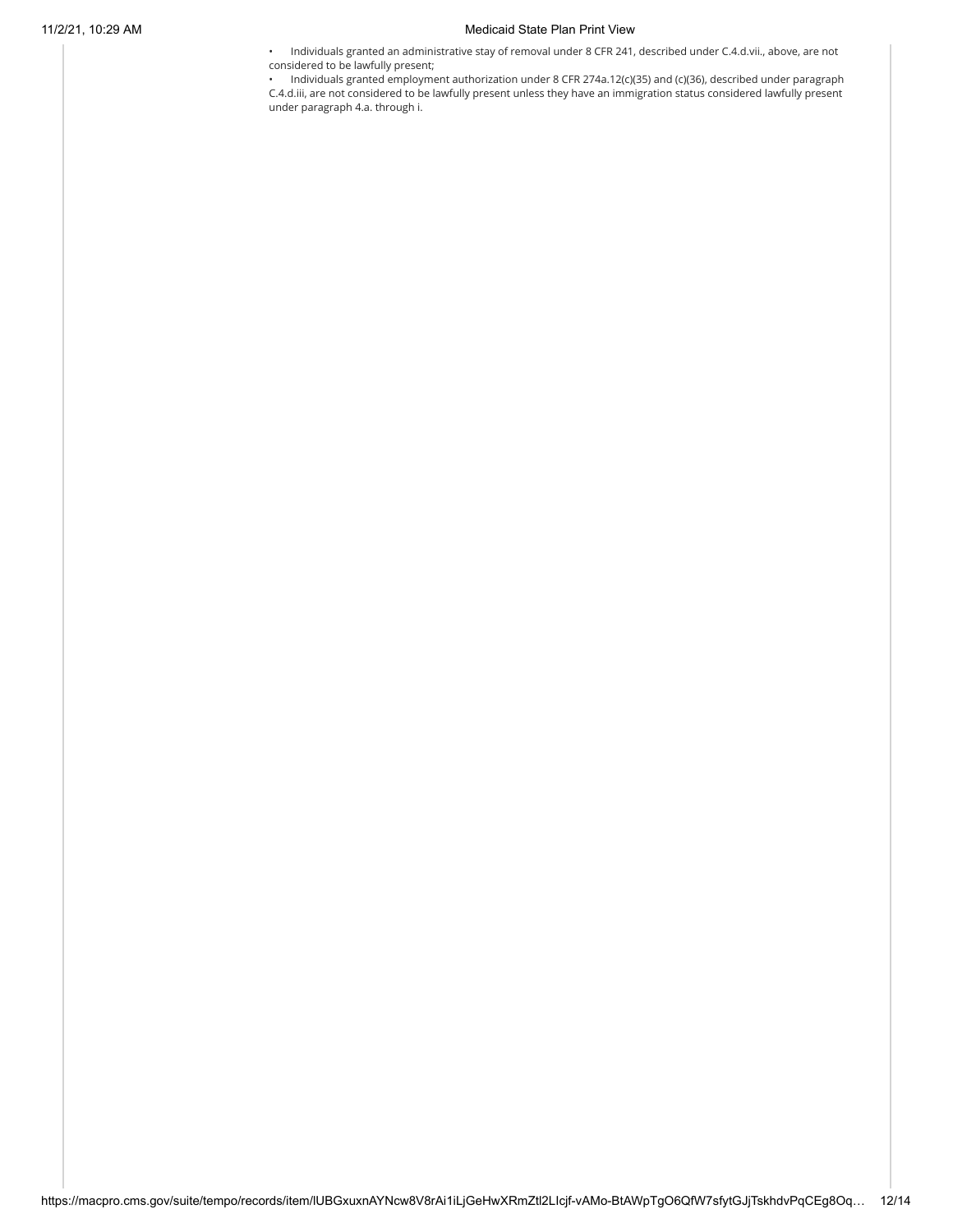#### 11/2/21, 10:29 AM Medicaid State Plan Print View

• Individuals granted an administrative stay of removal under 8 CFR 241, described under C.4.d.vii., above, are not considered to be lawfully present;

• Individuals granted employment authorization under 8 CFR 274a.12(c)(35) and (c)(36), described under paragraph C.4.d.iii, are not considered to be lawfully present unless they have an immigration status considered lawfully present under paragraph 4.a. through i.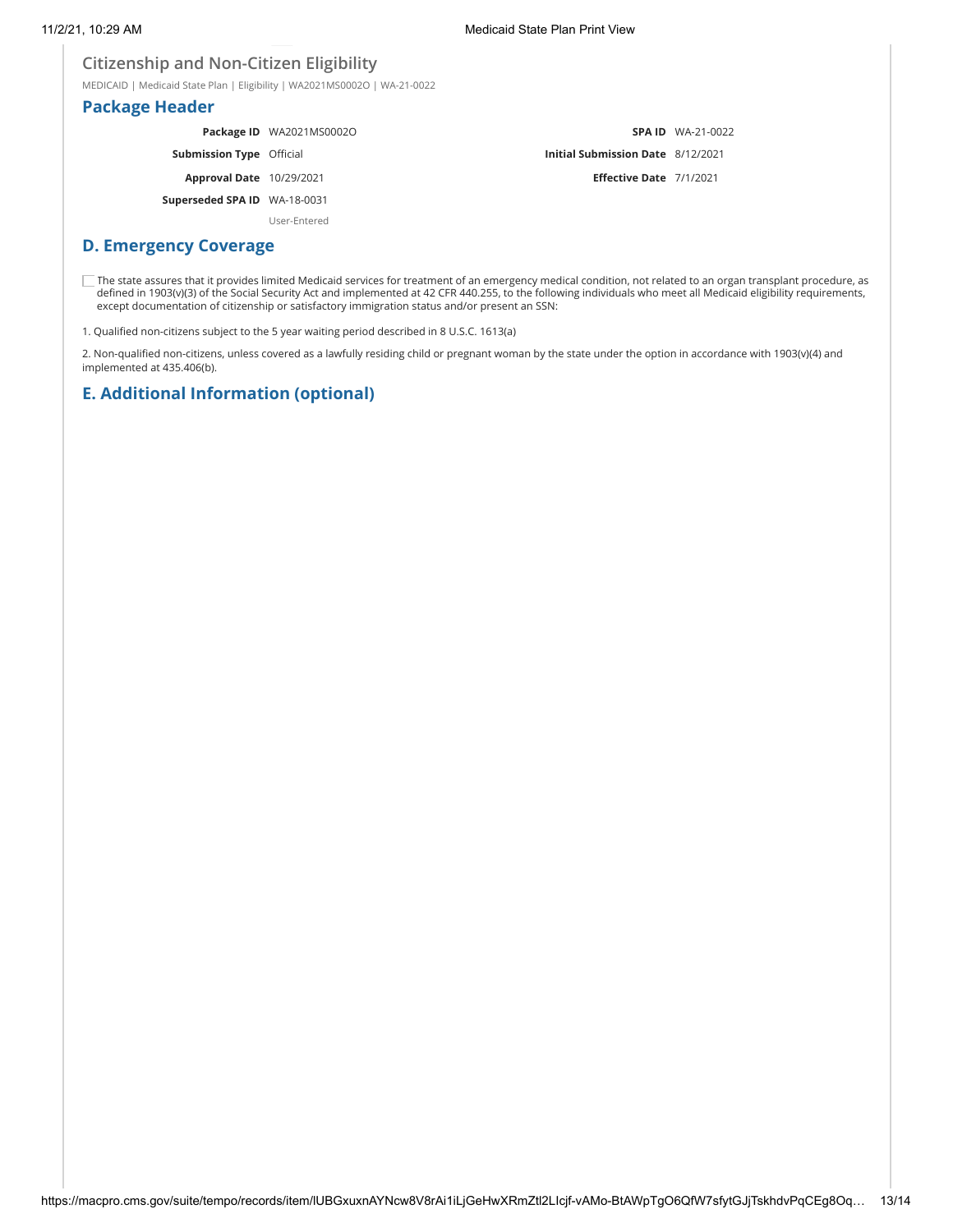## **Citizenship and Non-Citizen Eligibility**

MEDICAID | Medicaid State Plan | Eligibility | WA2021MS0002O | WA-21-0022

### **Package Header**

|                                 | Package ID WA2021MS0002O |                                          | <b>SPA ID</b> WA-21-0022 |
|---------------------------------|--------------------------|------------------------------------------|--------------------------|
| <b>Submission Type</b> Official |                          | <b>Initial Submission Date 8/12/2021</b> |                          |
| <b>Approval Date</b> 10/29/2021 |                          | Effective Date 7/1/2021                  |                          |
| Superseded SPA ID WA-18-0031    |                          |                                          |                          |
|                                 | User-Entered             |                                          |                          |

### **D. Emergency Coverage**

The state assures that it provides limited Medicaid services for treatment of an emergency medical condition, not related to an organ transplant procedure, as defined in 1903(v)(3) of the Social Security Act and implemented at 42 CFR 440.255, to the following individuals who meet all Medicaid eligibility requirements, except documentation of citizenship or satisfactory immigration status and/or present an SSN:

1. Qualified non-citizens subject to the 5 year waiting period described in 8 U.S.C. 1613(a)

2. Non-qualified non-citizens, unless covered as a lawfully residing child or pregnant woman by the state under the option in accordance with 1903(v)(4) and implemented at 435.406(b).

# **E. Additional Information (optional)**